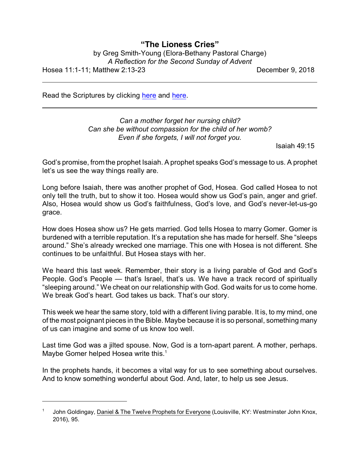## **"The Lioness Cries"**

by Greg Smith-Young (Elora-Bethany Pastoral Charge) *A Reflection for the Second Sunday of Advent* Hosea 11:1-11; Matthew 2:13-23 December 9, 2018

Read the Scriptures by clicking [here](https://www.biblegateway.com/passage/?search=Hosea+11%3A1-11&version=CEB) and [here](https://www.biblegateway.com/passage/?search=Matthew+2%3A13-23&version=CEB).

*Can a mother forget her nursing child? Can she be without compassion for the child of her womb? Even if she forgets, I will not forget you.*

Isaiah 49:15

God's promise, from the prophet Isaiah. A prophet speaks God's message to us. A prophet let's us see the way things really are.

Long before Isaiah, there was another prophet of God, Hosea. God called Hosea to not only tell the truth, but to show it too. Hosea would show us God's pain, anger and grief. Also, Hosea would show us God's faithfulness, God's love, and God's never-let-us-go grace.

How does Hosea show us? He gets married. God tells Hosea to marry Gomer. Gomer is burdened with a terrible reputation. It's a reputation she has made for herself. She "sleeps around." She's already wrecked one marriage. This one with Hosea is not different. She continues to be unfaithful. But Hosea stays with her.

We heard this last week. Remember, their story is a living parable of God and God's People. God's People — that's Israel, that's us. We have a track record of spiritually "sleeping around." We cheat on our relationship with God. God waits for us to come home. We break God's heart. God takes us back. That's our story.

This week we hear the same story, told with a different living parable. It is, to my mind, one of the most poignant pieces in the Bible. Maybe because it is so personal, something many of us can imagine and some of us know too well.

Last time God was a jilted spouse. Now, God is a torn-apart parent. A mother, perhaps. Maybe Gomer helped Hosea write this.<sup>1</sup>

In the prophets hands, it becomes a vital way for us to see something about ourselves. And to know something wonderful about God. And, later, to help us see Jesus.

<sup>1</sup> John Goldingay, Daniel & The Twelve Prophets for Everyone (Louisville, KY: Westminster John Knox, 2016), 95.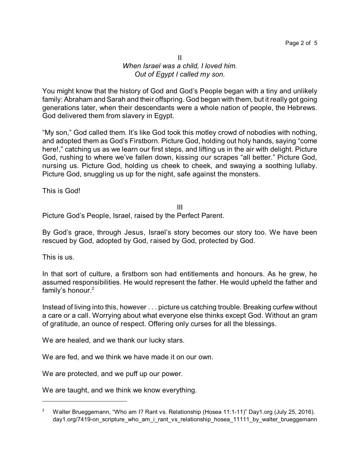## II *When Israel was a child, I loved him. Out of Egypt I called my son.*

You might know that the history of God and God's People began with a tiny and unlikely family: Abraham and Sarah and their offspring. God began with them, but it really got going generations later, when their descendants were a whole nation of people, the Hebrews. God delivered them from slavery in Egypt.

"My son," God called them. It's like God took this motley crowd of nobodies with nothing, and adopted them as God's Firstborn. Picture God, holding out holy hands, saying "come here!," catching us as we learn our first steps, and lifting us in the air with delight. Picture God, rushing to where we've fallen down, kissing our scrapes "all better." Picture God, nursing us. Picture God, holding us cheek to cheek, and swaying a soothing lullaby. Picture God, snuggling us up for the night, safe against the monsters.

This is God!

III Picture God's People, Israel, raised by the Perfect Parent.

By God's grace, through Jesus, Israel's story becomes our story too. We have been rescued by God, adopted by God, raised by God, protected by God.

This is us.

In that sort of culture, a firstborn son had entitlements and honours. As he grew, he assumed responsibilities. He would represent the father. He would upheld the father and family's honour. 2

Instead of living into this, however . . . picture us catching trouble. Breaking curfew without a care or a call. Worrying about what everyone else thinks except God. Without an gram of gratitude, an ounce of respect. Offering only curses for all the blessings.

We are healed, and we thank our lucky stars.

We are fed, and we think we have made it on our own.

We are protected, and we puff up our power.

We are taught, and we think we know everything.

<sup>&</sup>lt;sup>2</sup> Walter Brueggemann, "Who am I? Rant vs. Relationship (Hosea 11:1-11)" Day1.org (July 25, 2016). day1.org/7419-on\_scripture\_who\_am\_i\_rant\_vs\_relationship\_hosea\_11111\_by\_walter\_brueggemann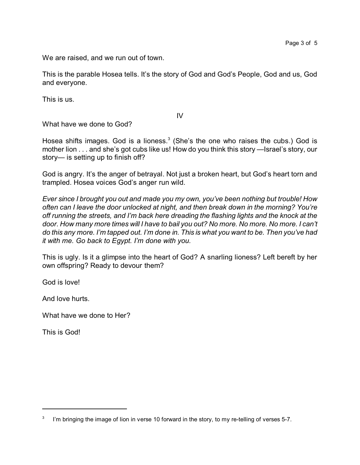We are raised, and we run out of town.

This is the parable Hosea tells. It's the story of God and God's People, God and us, God and everyone.

This is us.

IV

What have we done to God?

Hosea shifts images. God is a lioness.<sup>3</sup> (She's the one who raises the cubs.) God is mother lion . . . and she's got cubs like us! How do you think this story —Israel's story, our story— is setting up to finish off?

God is angry. It's the anger of betrayal. Not just a broken heart, but God's heart torn and trampled. Hosea voices God's anger run wild.

*Ever since I brought you out and made you my own, you've been nothing but trouble! How often can I leave the door unlocked at night, and then break down in the morning? You're off running the streets, and I'm back here dreading the flashing lights and the knock at the door. How many more times will I have to bail you out? No more. No more. No more. I can't do this any more. I'm tapped out. I'm done in. This is what you want to be. Then you've had it with me. Go back to Egypt. I'm done with you.* 

This is ugly. Is it a glimpse into the heart of God? A snarling lioness? Left bereft by her own offspring? Ready to devour them?

God is love!

And love hurts.

What have we done to Her?

This is God!

<sup>3</sup> I'm bringing the image of lion in verse 10 forward in the story, to my re-telling of verses 5-7.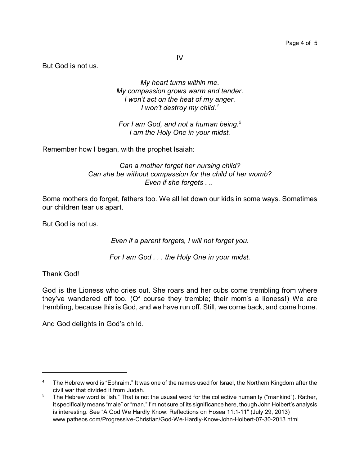IV

But God is not us.

*My heart turns within me. My compassion grows warm and tender. I won't act on the heat of my anger. I won't destroy my child.<sup>4</sup>*

*For I am God, and not a human being.<sup>5</sup> I am the Holy One in your midst.*

Remember how I began, with the prophet Isaiah:

*Can a mother forget her nursing child? Can she be without compassion for the child of her womb? Even if she forgets . ..* 

Some mothers do forget, fathers too. We all let down our kids in some ways. Sometimes our children tear us apart.

But God is not us.

*Even if a parent forgets, I will not forget you.*

*For I am God . . . the Holy One in your midst.*

Thank God!

God is the Lioness who cries out. She roars and her cubs come trembling from where they've wandered off too. (Of course they tremble; their mom's a lioness!) We are trembling, because this is God, and we have run off. Still, we come back, and come home.

And God delights in God's child.

<sup>&</sup>lt;sup>4</sup> The Hebrew word is "Ephraim." It was one of the names used for Israel, the Northern Kingdom after the civil war that divided it from Judah.

<sup>&</sup>lt;sup>5</sup> The Hebrew word is "ish." That is not the ususal word for the collective humanity ("mankind"). Rather, it specifically means "male" or "man." I'm not sure of its significance here, though John Holbert's analysis is interesting. See "A God We Hardly Know: Reflections on Hosea 11:1-11" (July 29, 2013) www.patheos.com/Progressive-Christian/God-We-Hardly-Know-John-Holbert-07-30-2013.html